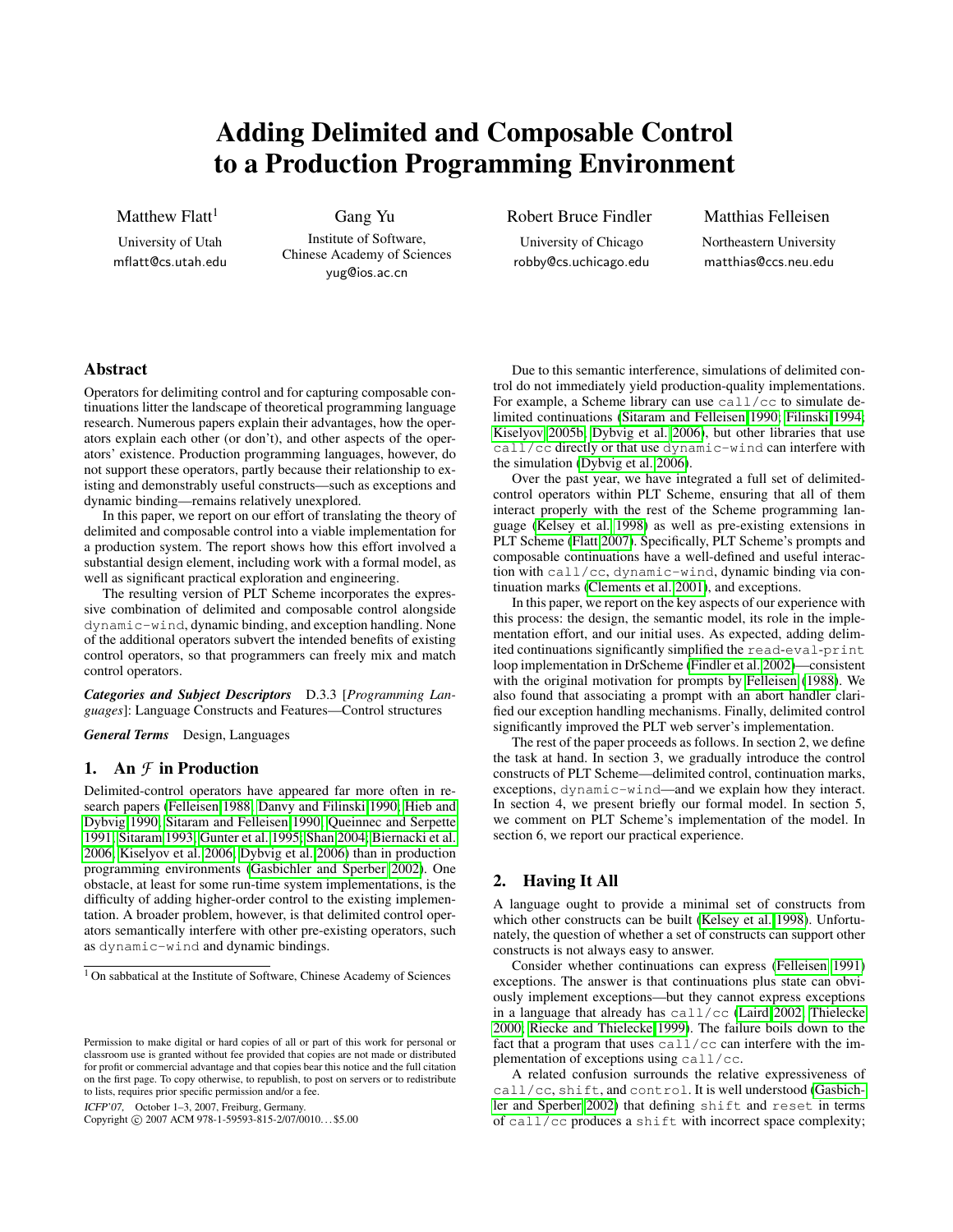# Adding Delimited and Composable Control to a Production Programming Environment

Matthew  $Flatt<sup>1</sup>$ 

University of Utah mflatt@cs.utah.edu

Gang Yu Institute of Software, Chinese Academy of Sciences yug@ios.ac.cn

Robert Bruce Findler

University of Chicago robby@cs.uchicago.edu

Matthias Felleisen Northeastern University matthias@ccs.neu.edu

# Abstract

Operators for delimiting control and for capturing composable continuations litter the landscape of theoretical programming language research. Numerous papers explain their advantages, how the operators explain each other (or don't), and other aspects of the operators' existence. Production programming languages, however, do not support these operators, partly because their relationship to existing and demonstrably useful constructs—such as exceptions and dynamic binding—remains relatively unexplored.

In this paper, we report on our effort of translating the theory of delimited and composable control into a viable implementation for a production system. The report shows how this effort involved a substantial design element, including work with a formal model, as well as significant practical exploration and engineering.

The resulting version of PLT Scheme incorporates the expressive combination of delimited and composable control alongside dynamic-wind, dynamic binding, and exception handling. None of the additional operators subvert the intended benefits of existing control operators, so that programmers can freely mix and match control operators.

*Categories and Subject Descriptors* D.3.3 [*Programming Languages*]: Language Constructs and Features—Control structures

*General Terms* Design, Languages

# 1. An *F* in Production

Delimited-control operators have appeared far more often in research papers [\(Felleisen 1988;](#page-11-0) [Danvy and Filinski 1990;](#page-11-1) [Hieb and](#page-11-2) [Dybvig 1990;](#page-11-2) [Sitaram and Felleisen 1990;](#page-11-3) [Queinnec and Serpette](#page-11-4) [1991;](#page-11-4) [Sitaram 1993;](#page-11-5) [Gunter et al. 1995;](#page-11-6) [Shan 2004;](#page-11-7) [Biernacki et al.](#page-11-8) [2006;](#page-11-8) [Kiselyov et al. 2006;](#page-11-9) [Dybvig et al. 2006\)](#page-11-10) than in production programming environments [\(Gasbichler and Sperber 2002\)](#page-11-11). One obstacle, at least for some run-time system implementations, is the difficulty of adding higher-order control to the existing implementation. A broader problem, however, is that delimited control operators semantically interfere with other pre-existing operators, such as dynamic-wind and dynamic bindings.

ICFP'07, October 1–3, 2007, Freiburg, Germany.

Copyright © 2007 ACM 978-1-59593-815-2/07/0010... \$5.00

Due to this semantic interference, simulations of delimited control do not immediately yield production-quality implementations. For example, a Scheme library can use call/cc to simulate delimited continuations [\(Sitaram and Felleisen 1990;](#page-11-3) [Filinski 1994;](#page-11-12) [Kiselyov 2005b;](#page-11-13) [Dybvig et al. 2006\)](#page-11-10), but other libraries that use call/cc directly or that use dynamic-wind can interfere with the simulation [\(Dybvig et al. 2006\)](#page-11-10).

Over the past year, we have integrated a full set of delimitedcontrol operators within PLT Scheme, ensuring that all of them interact properly with the rest of the Scheme programming language [\(Kelsey et al. 1998\)](#page-11-14) as well as pre-existing extensions in PLT Scheme [\(Flatt 2007\)](#page-11-15). Specifically, PLT Scheme's prompts and composable continuations have a well-defined and useful interaction with call/cc, dynamic-wind, dynamic binding via continuation marks [\(Clements et al. 2001\)](#page-11-16), and exceptions.

In this paper, we report on the key aspects of our experience with this process: the design, the semantic model, its role in the implementation effort, and our initial uses. As expected, adding delimited continuations significantly simplified the read-eval-print loop implementation in DrScheme [\(Findler et al. 2002\)](#page-11-17)—consistent with the original motivation for prompts by [Felleisen](#page-11-0) [\(1988\)](#page-11-0). We also found that associating a prompt with an abort handler clarified our exception handling mechanisms. Finally, delimited control significantly improved the PLT web server's implementation.

The rest of the paper proceeds as follows. In section 2, we define the task at hand. In section 3, we gradually introduce the control constructs of PLT Scheme—delimited control, continuation marks, exceptions, dynamic-wind—and we explain how they interact. In section 4, we present briefly our formal model. In section 5, we comment on PLT Scheme's implementation of the model. In section 6, we report our practical experience.

## 2. Having It All

A language ought to provide a minimal set of constructs from which other constructs can be built [\(Kelsey et al. 1998\)](#page-11-14). Unfortunately, the question of whether a set of constructs can support other constructs is not always easy to answer.

Consider whether continuations can express [\(Felleisen 1991\)](#page-11-18) exceptions. The answer is that continuations plus state can obviously implement exceptions—but they cannot express exceptions in a language that already has  $\text{call}/\text{cc}$  [\(Laird 2002;](#page-11-19) [Thielecke](#page-11-20) [2000;](#page-11-20) [Riecke and Thielecke 1999\)](#page-11-21). The failure boils down to the fact that a program that uses call/cc can interfere with the implementation of exceptions using call/cc.

A related confusion surrounds the relative expressiveness of call/cc, shift, and control. It is well understood [\(Gasbich](#page-11-11)[ler and Sperber 2002\)](#page-11-11) that defining shift and reset in terms of call/cc produces a shift with incorrect space complexity;

<sup>&</sup>lt;sup>1</sup> On sabbatical at the Institute of Software, Chinese Academy of Sciences

Permission to make digital or hard copies of all or part of this work for personal or classroom use is granted without fee provided that copies are not made or distributed for profit or commercial advantage and that copies bear this notice and the full citation on the first page. To copy otherwise, to republish, to post on servers or to redistribute to lists, requires prior specific permission and/or a fee.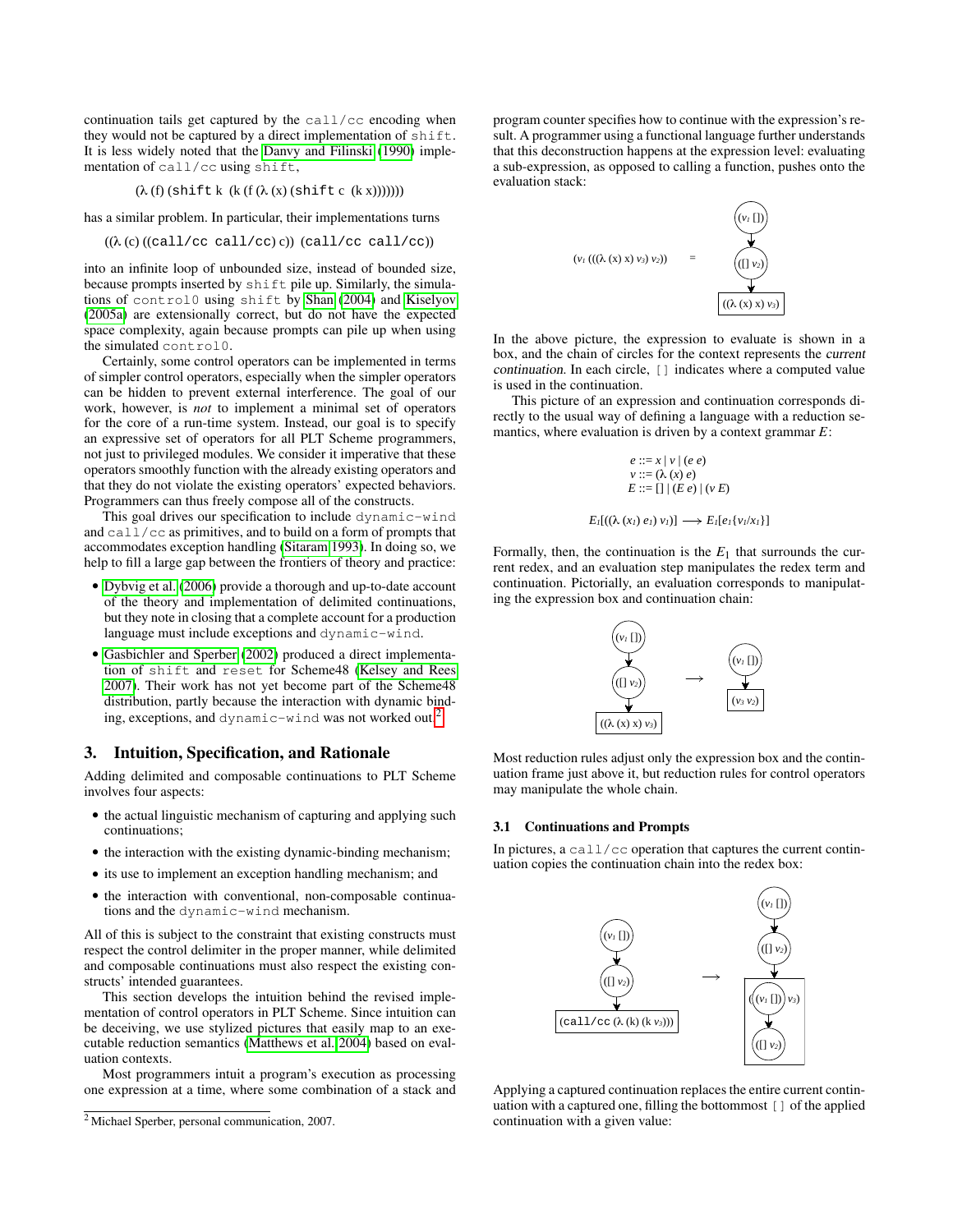continuation tails get captured by the call/cc encoding when they would not be captured by a direct implementation of shift. It is less widely noted that the [Danvy and Filinski](#page-11-1) [\(1990\)](#page-11-1) implementation of call/cc using shift,

$$
(\lambda(f) \left( \text{shift } k \left( k \left( f \left( \lambda(x) \left( \text{shift } c \left( (k x) \right) \right) \right) \right) \right) \right)
$$

has a similar problem. In particular, their implementations turns

$$
((\lambda(c)((call/cc call/cc)c)) (call/cc call/cc))
$$

into an infinite loop of unbounded size, instead of bounded size, because prompts inserted by shift pile up. Similarly, the simulations of control0 using shift by [Shan](#page-11-7) [\(2004\)](#page-11-7) and [Kiselyov](#page-11-22) [\(2005a\)](#page-11-22) are extensionally correct, but do not have the expected space complexity, again because prompts can pile up when using the simulated control0.

Certainly, some control operators can be implemented in terms of simpler control operators, especially when the simpler operators can be hidden to prevent external interference. The goal of our work, however, is *not* to implement a minimal set of operators for the core of a run-time system. Instead, our goal is to specify an expressive set of operators for all PLT Scheme programmers, not just to privileged modules. We consider it imperative that these operators smoothly function with the already existing operators and that they do not violate the existing operators' expected behaviors. Programmers can thus freely compose all of the constructs.

This goal drives our specification to include dynamic-wind and call/cc as primitives, and to build on a form of prompts that accommodates exception handling [\(Sitaram 1993\)](#page-11-5). In doing so, we help to fill a large gap between the frontiers of theory and practice:

- [Dybvig et al.](#page-11-10) [\(2006\)](#page-11-10) provide a thorough and up-to-date account of the theory and implementation of delimited continuations, but they note in closing that a complete account for a production language must include exceptions and dynamic-wind.
- [Gasbichler and Sperber](#page-11-11) [\(2002\)](#page-11-11) produced a direct implementation of shift and reset for Scheme48 [\(Kelsey and Rees](#page-11-23) [2007\)](#page-11-23). Their work has not yet become part of the Scheme48 distribution, partly because the interaction with dynamic binding, exceptions, and dynamic-wind was not worked out.[2](#page-1-0)

# 3. Intuition, Specification, and Rationale

Adding delimited and composable continuations to PLT Scheme involves four aspects:

- the actual linguistic mechanism of capturing and applying such continuations;
- the interaction with the existing dynamic-binding mechanism;
- its use to implement an exception handling mechanism; and
- the interaction with conventional, non-composable continuations and the dynamic-wind mechanism.

All of this is subject to the constraint that existing constructs must respect the control delimiter in the proper manner, while delimited and composable continuations must also respect the existing constructs' intended guarantees.

This section develops the intuition behind the revised implementation of control operators in PLT Scheme. Since intuition can be deceiving, we use stylized pictures that easily map to an executable reduction semantics [\(Matthews et al. 2004\)](#page-11-24) based on evaluation contexts.

Most programmers intuit a program's execution as processing one expression at a time, where some combination of a stack and

program counter specifies how to continue with the expression's result. A programmer using a functional language further understands that this deconstruction happens at the expression level: evaluating a sub-expression, as opposed to calling a function, pushes onto the evaluation stack:



In the above picture, the expression to evaluate is shown in a box, and the chain of circles for the context represents the current continuation. In each circle, [] indicates where a computed value is used in the continuation.

This picture of an expression and continuation corresponds directly to the usual way of defining a language with a reduction semantics, where evaluation is driven by a context grammar *E*:

$$
e ::= x | v | (e e)
$$
  
\n
$$
v ::= (\lambda (x) e)
$$
  
\n
$$
E ::= [] | (E e) | (v E)
$$

$$
E_I[(\lambda(x_l) e_l) v_l)] \longrightarrow E_I[e_I\{v_l/x_l\}]
$$

Formally, then, the continuation is the  $E_1$  that surrounds the current redex, and an evaluation step manipulates the redex term and continuation. Pictorially, an evaluation corresponds to manipulating the expression box and continuation chain:



Most reduction rules adjust only the expression box and the continuation frame just above it, but reduction rules for control operators may manipulate the whole chain.

## 3.1 Continuations and Prompts

In pictures, a  $\text{call}/\text{cc}$  operation that captures the current continuation copies the continuation chain into the redex box:



Applying a captured continuation replaces the entire current continuation with a captured one, filling the bottommost [] of the applied continuation with a given value:

<span id="page-1-0"></span><sup>2</sup> Michael Sperber, personal communication, 2007.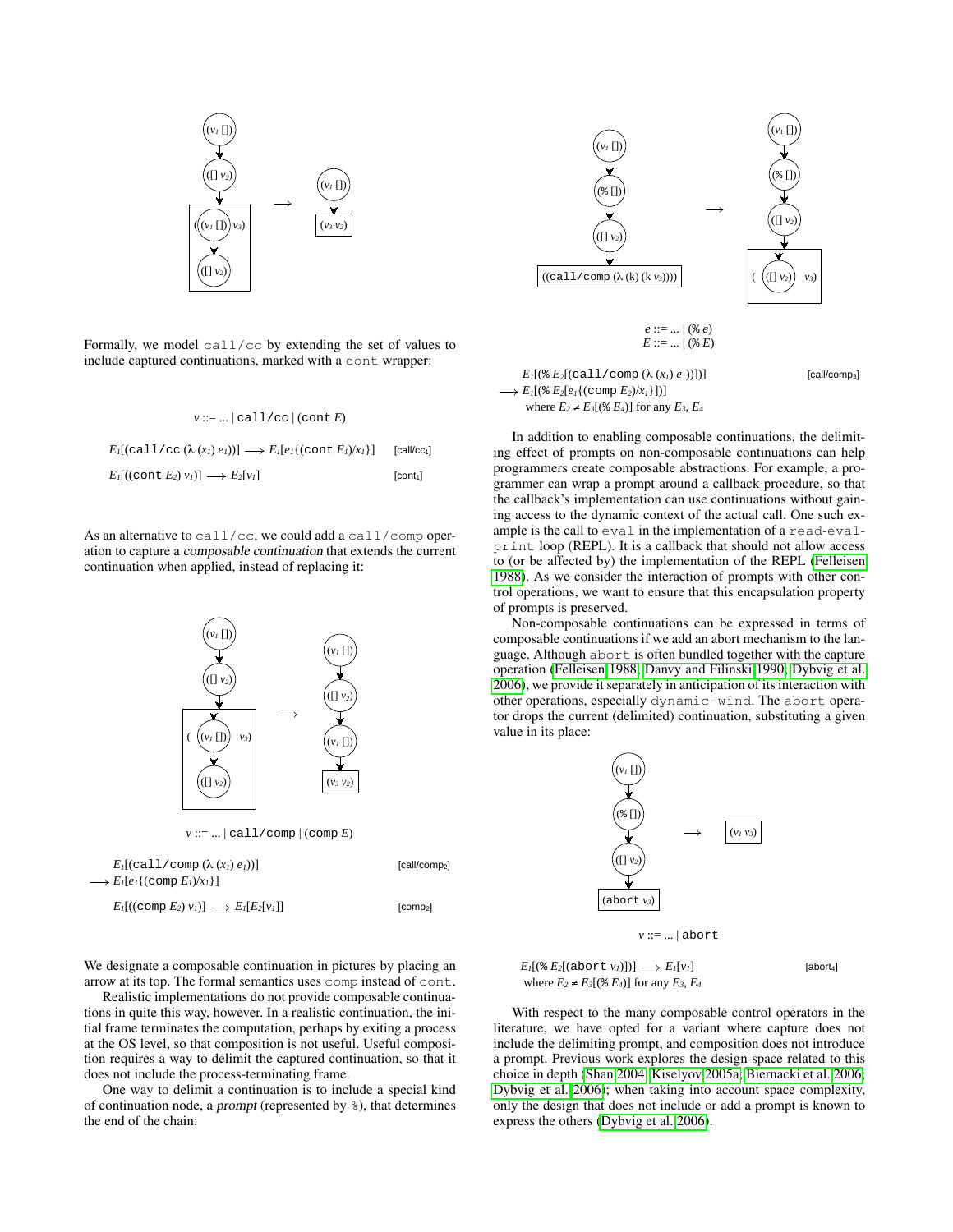



Formally, we model call/cc by extending the set of values to include captured continuations, marked with a cont wrapper:

| $v ::=    call / cc   (cont E)$                                                                |                         |
|------------------------------------------------------------------------------------------------|-------------------------|
| $E_l[(\text{call}/\text{cc}(\lambda(x_l)e_l))] \longrightarrow E_l[e_l](\text{cont }E_l)/x_l]$ | [call/cc <sub>1</sub> ] |
| $E_l[(\text{cont } E_2) v_l] \longrightarrow E_2[v_l]$                                         | [cont <sub>1</sub> ]    |

As an alternative to call/cc, we could add a call/comp operation to capture a composable continuation that extends the current continuation when applied, instead of replacing it:





 $\rightarrow E_I[(\& E_2[e_I\{(\text{comp } E_2)/x_I\}])]$ 

 $E ::= ... | (* E)$ 

*E<sub>1</sub>*[( $\& E_2$ [(call/comp ( $\lambda(x_1) e_1$ )]]] [call/comp<sub>3</sub>]

ing effect of prompts on non-composable continuations can help programmers create composable abstractions. For example, a programmer can wrap a prompt around a callback procedure, so that the callback's implementation can use continuations without gaining access to the dynamic context of the actual call. One such example is the call to eval in the implementation of a read-evalprint loop (REPL). It is a callback that should not allow access to (or be affected by) the implementation of the REPL [\(Felleisen](#page-11-0) [1988\)](#page-11-0). As we consider the interaction of prompts with other control operations, we want to ensure that this encapsulation property of prompts is preserved.

Non-composable continuations can be expressed in terms of composable continuations if we add an abort mechanism to the language. Although abort is often bundled together with the capture operation [\(Felleisen 1988;](#page-11-0) [Danvy and Filinski 1990;](#page-11-1) [Dybvig et al.](#page-11-10) [2006\)](#page-11-10), we provide it separately in anticipation of its interaction with other operations, especially dynamic-wind. The abort operator drops the current (delimited) continuation, substituting a given value in its place:



 $E_I[(\& E_2[(\text{abort } v_I)])] \longrightarrow E_I[v_I]$  [abort<sub>4</sub>] where  $E_2 \neq E_3[(\& E_4)]$  for any  $E_3$ ,  $E_4$ 

With respect to the many composable control operators in the literature, we have opted for a variant where capture does not include the delimiting prompt, and composition does not introduce a prompt. Previous work explores the design space related to this choice in depth [\(Shan 2004;](#page-11-7) [Kiselyov 2005a;](#page-11-22) [Biernacki et al. 2006;](#page-11-8) [Dybvig et al. 2006\)](#page-11-10); when taking into account space complexity, only the design that does not include or add a prompt is known to express the others [\(Dybvig et al. 2006\)](#page-11-10).

We designate a composable continuation in pictures by placing an arrow at its top. The formal semantics uses comp instead of cont.

Realistic implementations do not provide composable continuations in quite this way, however. In a realistic continuation, the initial frame terminates the computation, perhaps by exiting a process at the OS level, so that composition is not useful. Useful composition requires a way to delimit the captured continuation, so that it does not include the process-terminating frame.

One way to delimit a continuation is to include a special kind of continuation node, a *prompt* (represented by  $\frac{1}{2}$ ), that determines the end of the chain: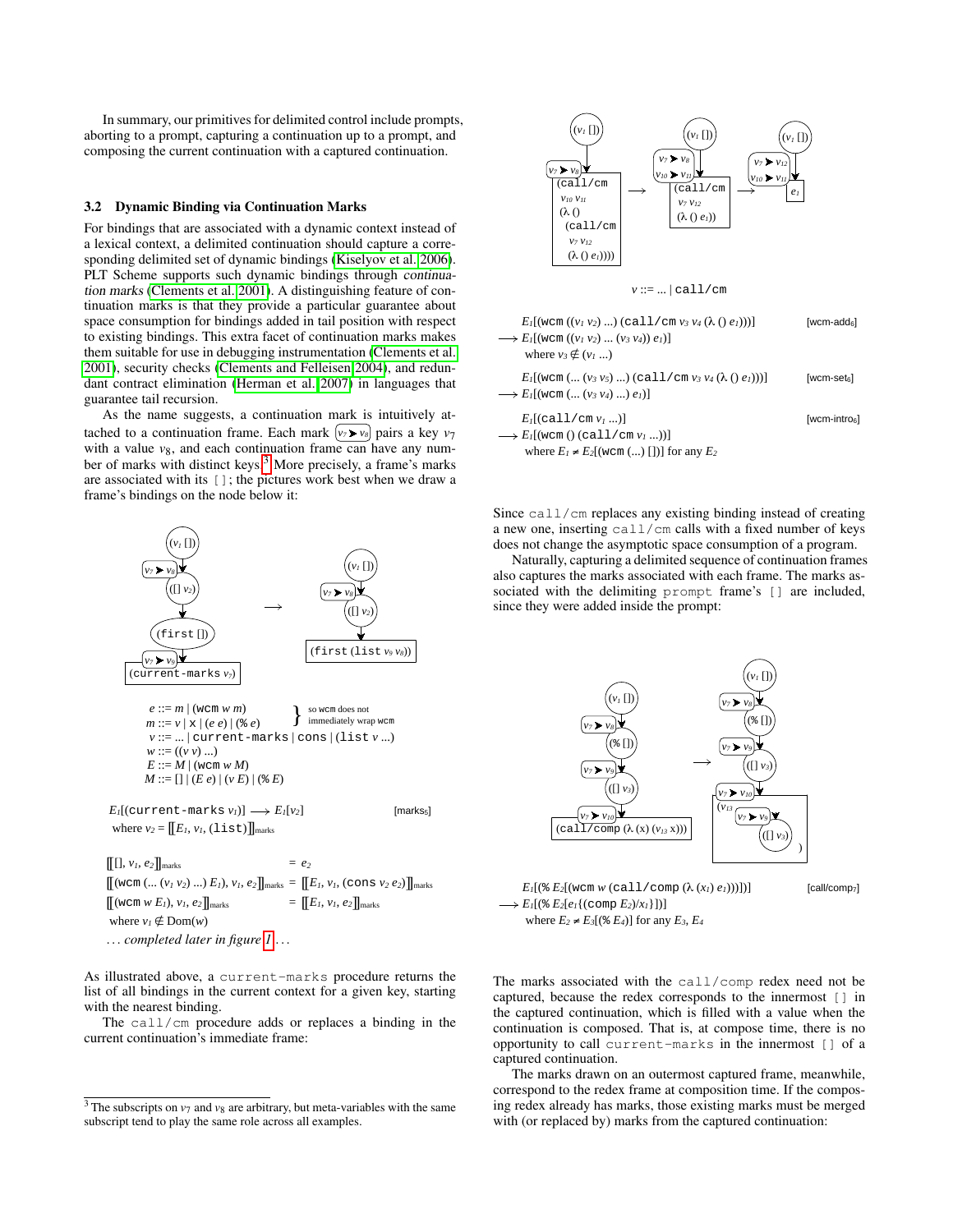In summary, our primitives for delimited control include prompts, aborting to a prompt, capturing a continuation up to a prompt, and composing the current continuation with a captured continuation.

## <span id="page-3-1"></span>3.2 Dynamic Binding via Continuation Marks

For bindings that are associated with a dynamic context instead of a lexical context, a delimited continuation should capture a corresponding delimited set of dynamic bindings [\(Kiselyov et al. 2006\)](#page-11-9). PLT Scheme supports such dynamic bindings through continuation marks [\(Clements et al. 2001\)](#page-11-16). A distinguishing feature of continuation marks is that they provide a particular guarantee about space consumption for bindings added in tail position with respect to existing bindings. This extra facet of continuation marks makes them suitable for use in debugging instrumentation [\(Clements et al.](#page-11-16) [2001\)](#page-11-16), security checks [\(Clements and Felleisen 2004\)](#page-11-25), and redundant contract elimination [\(Herman et al. 2007\)](#page-11-26) in languages that guarantee tail recursion.

As the name suggests, a continuation mark is intuitively attached to a continuation frame. Each mark  $(v_7 \triangleright v_8)$  pairs a key  $v_7$ with a value  $v_8$ , and each continuation frame can have any num-ber of marks with distinct keys.<sup>[3](#page-3-0)</sup> More precisely, a frame's marks are associated with its []; the pictures work best when we draw a frame's bindings on the node below it:



 $[(\text{wcm } w \ E_l), v_l, e_2]$ <sub>marks</sub>  $=[[E_l, v_l, e_2]]$ <sub>marks</sub> where  $v_I \notin \text{Dom}(w)$ ... *completed later in figure [1](#page-9-0)* ...

As illustrated above, a current-marks procedure returns the list of all bindings in the current context for a given key, starting with the nearest binding.

The call/cm procedure adds or replaces a binding in the current continuation's immediate frame:



 $E_I[(\text{wcm } (\dots (v_3 v_5) \dots) (\text{call } / \text{cm } v_3 v_4 (\lambda () e_I))))]$  [wcm-set<sub>6</sub>]  $\longrightarrow E_I[(\text{wcm } (\dots (v_3 \, v_4) \, \dots) \, e_I)]$ 

*E1*[(call/cm *v1* ...)] [wcm-intro6]  $\longrightarrow E_I[(\text{wcm }() \text{ (call } / \text{cm } v_I \ldots))]$ where  $E_1 \neq E_2$ [(wcm (...) [])] for any  $E_2$ 

Since call/cm replaces any existing binding instead of creating a new one, inserting call/cm calls with a fixed number of keys does not change the asymptotic space consumption of a program.

Naturally, capturing a delimited sequence of continuation frames also captures the marks associated with each frame. The marks associated with the delimiting prompt frame's [] are included, since they were added inside the prompt:



 $E_I[(\& E_2[(\text{wcm } w \text{ (call } / \text{comp } (\lambda (x_I) e_I))))])]$  [call/comp<sub>7</sub>]  $\longrightarrow E_I[(\&E_2[e_I\{(\text{comp }E_2)/x_I\}])]$ where  $E_2 \neq E_3$ [ $\left( \frac{8}{2} E_4 \right)$ ] for any  $E_3$ ,  $E_4$ 

The marks associated with the call/comp redex need not be captured, because the redex corresponds to the innermost [] in the captured continuation, which is filled with a value when the continuation is composed. That is, at compose time, there is no opportunity to call current-marks in the innermost [] of a captured continuation.

The marks drawn on an outermost captured frame, meanwhile, correspond to the redex frame at composition time. If the composing redex already has marks, those existing marks must be merged with (or replaced by) marks from the captured continuation:

<span id="page-3-0"></span> $3$  The subscripts on  $v_7$  and  $v_8$  are arbitrary, but meta-variables with the same subscript tend to play the same role across all examples.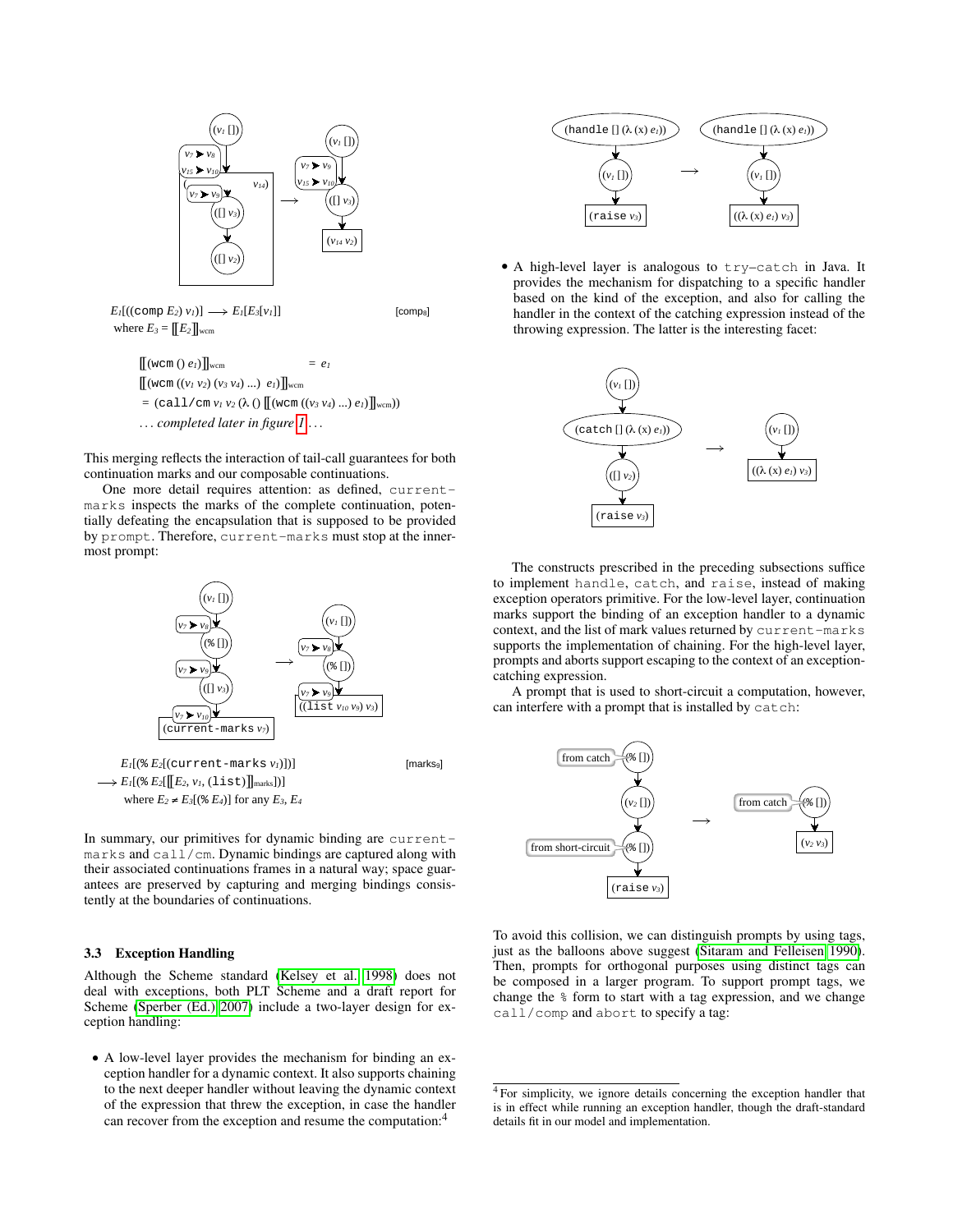

 $= (call/cm v_1 v_2 (\lambda () [[(wcm ((v_3 v_4) ... ) e_l)]]$ wcm))

... *completed later in figure [1](#page-9-0)* ...

This merging reflects the interaction of tail-call guarantees for both continuation marks and our composable continuations.

One more detail requires attention: as defined, currentmarks inspects the marks of the complete continuation, potentially defeating the encapsulation that is supposed to be provided by prompt. Therefore, current-marks must stop at the innermost prompt:



In summary, our primitives for dynamic binding are currentmarks and call/cm. Dynamic bindings are captured along with their associated continuations frames in a natural way; space guarantees are preserved by capturing and merging bindings consistently at the boundaries of continuations.

#### 3.3 Exception Handling

Although the Scheme standard [\(Kelsey et al. 1998\)](#page-11-14) does not deal with exceptions, both PLT Scheme and a draft report for Scheme [\(Sperber \(Ed.\) 2007\)](#page-11-27) include a two-layer design for exception handling:

• A low-level layer provides the mechanism for binding an exception handler for a dynamic context. It also supports chaining to the next deeper handler without leaving the dynamic context of the expression that threw the exception, in case the handler can recover from the exception and resume the computation:<sup>4</sup>



• A high-level layer is analogous to try–catch in Java. It provides the mechanism for dispatching to a specific handler based on the kind of the exception, and also for calling the handler in the context of the catching expression instead of the throwing expression. The latter is the interesting facet:



The constructs prescribed in the preceding subsections suffice to implement handle, catch, and raise, instead of making exception operators primitive. For the low-level layer, continuation marks support the binding of an exception handler to a dynamic context, and the list of mark values returned by current-marks supports the implementation of chaining. For the high-level layer, prompts and aborts support escaping to the context of an exceptioncatching expression.

A prompt that is used to short-circuit a computation, however, can interfere with a prompt that is installed by catch:



To avoid this collision, we can distinguish prompts by using tags, just as the balloons above suggest [\(Sitaram and Felleisen 1990\)](#page-11-3). Then, prompts for orthogonal purposes using distinct tags can be composed in a larger program. To support prompt tags, we change the % form to start with a tag expression, and we change call/comp and abort to specify a tag:

<sup>4</sup> For simplicity, we ignore details concerning the exception handler that is in effect while running an exception handler, though the draft-standard details fit in our model and implementation.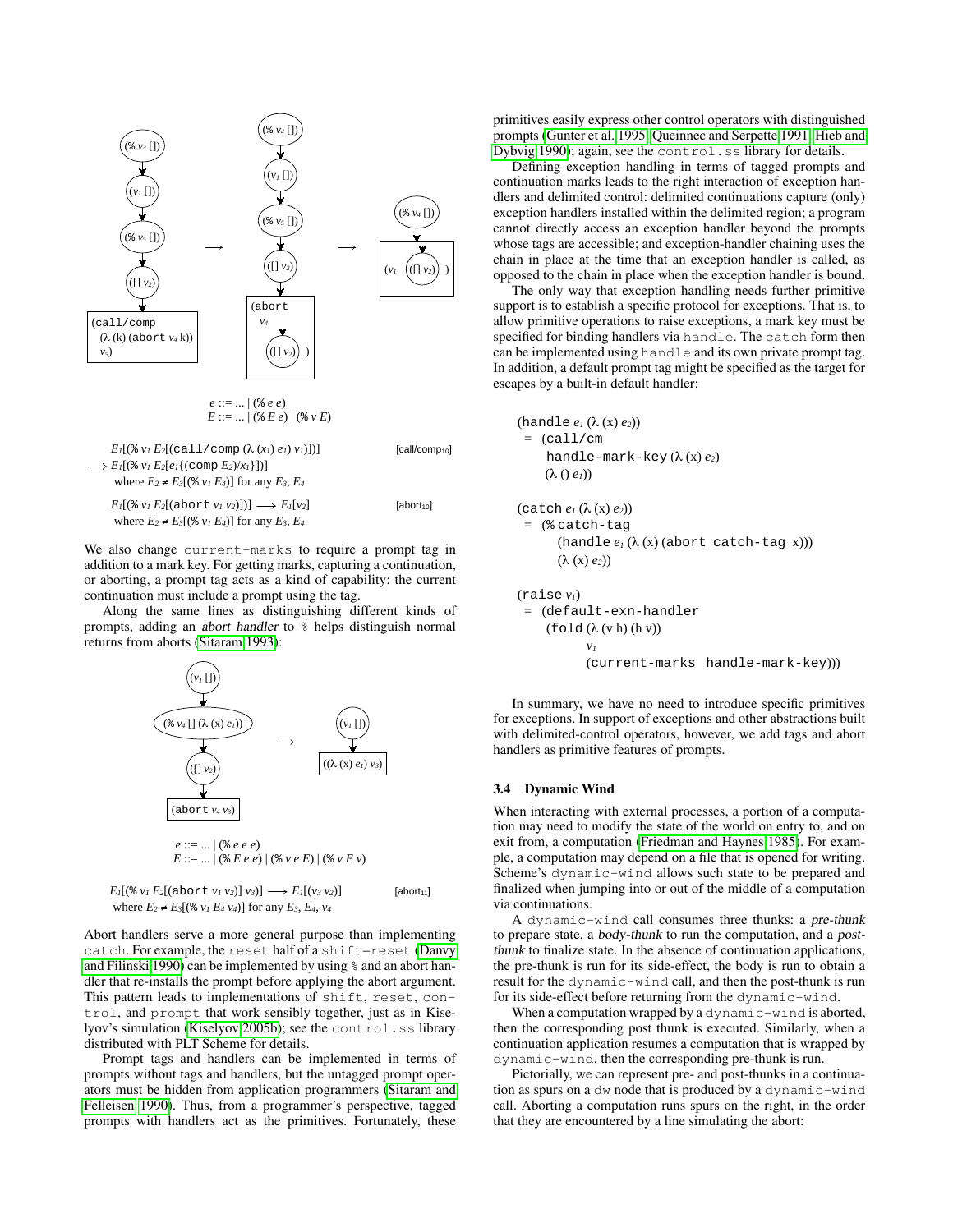

We also change current-marks to require a prompt tag in addition to a mark key. For getting marks, capturing a continuation, or aborting, a prompt tag acts as a kind of capability: the current continuation must include a prompt using the tag.

Along the same lines as distinguishing different kinds of prompts, adding an abort handler to % helps distinguish normal returns from aborts [\(Sitaram 1993\)](#page-11-5):



where  $E_2 \neq E_3[(\frac{1}{6} v_1 E_4 v_4)]$  for any  $E_3$ ,  $E_4$ ,  $v_4$ 

Abort handlers serve a more general purpose than implementing catch. For example, the reset half of a shift–reset [\(Danvy](#page-11-1) [and Filinski 1990\)](#page-11-1) can be implemented by using % and an abort handler that re-installs the prompt before applying the abort argument. This pattern leads to implementations of shift, reset, control, and prompt that work sensibly together, just as in Kise-lyov's simulation [\(Kiselyov 2005b\)](#page-11-13); see the control.ss library distributed with PLT Scheme for details.

Prompt tags and handlers can be implemented in terms of prompts without tags and handlers, but the untagged prompt operators must be hidden from application programmers [\(Sitaram and](#page-11-3) [Felleisen 1990\)](#page-11-3). Thus, from a programmer's perspective, tagged prompts with handlers act as the primitives. Fortunately, these primitives easily express other control operators with distinguished prompts [\(Gunter et al. 1995;](#page-11-6) [Queinnec and Serpette 1991;](#page-11-4) [Hieb and](#page-11-2) [Dybvig 1990\)](#page-11-2); again, see the control.ss library for details.

Defining exception handling in terms of tagged prompts and continuation marks leads to the right interaction of exception handlers and delimited control: delimited continuations capture (only) exception handlers installed within the delimited region; a program cannot directly access an exception handler beyond the prompts whose tags are accessible; and exception-handler chaining uses the chain in place at the time that an exception handler is called, as opposed to the chain in place when the exception handler is bound.

The only way that exception handling needs further primitive support is to establish a specific protocol for exceptions. That is, to allow primitive operations to raise exceptions, a mark key must be specified for binding handlers via handle. The catch form then can be implemented using handle and its own private prompt tag. In addition, a default prompt tag might be specified as the target for escapes by a built-in default handler:

$$
(\text{handle } e_I (\lambda(x) e_2))
$$
  
= (call / cm  
handle-mark-key (λ(x) e<sub>2</sub>)  
(λ () e<sub>1</sub>))

(catch *e1* (λ (x) *e2*)) = (% catch-tag (handle  $e_l$   $(\lambda$   $(x)$  (abort catch-tag x)))  $(λ (x) e<sub>2</sub>))$ 

$$
\begin{aligned} \n(\text{raise } v_i) &= (\text{default} - \text{exn} - \text{handler} \\ \n(\text{fold } (\lambda(v \, h) \, (h \, v)) & \\ v_i & (\text{current} - \text{marks} \, \text{ handle} - \text{mark} - \text{key}))) \n\end{aligned}
$$

In summary, we have no need to introduce specific primitives for exceptions. In support of exceptions and other abstractions built with delimited-control operators, however, we add tags and abort handlers as primitive features of prompts.

## 3.4 Dynamic Wind

When interacting with external processes, a portion of a computation may need to modify the state of the world on entry to, and on exit from, a computation [\(Friedman and Haynes 1985\)](#page-11-28). For example, a computation may depend on a file that is opened for writing. Scheme's dynamic-wind allows such state to be prepared and finalized when jumping into or out of the middle of a computation via continuations.

A dynamic-wind call consumes three thunks: a pre-thunk to prepare state, a body-thunk to run the computation, and a postthunk to finalize state. In the absence of continuation applications, the pre-thunk is run for its side-effect, the body is run to obtain a result for the dynamic-wind call, and then the post-thunk is run for its side-effect before returning from the dynamic-wind.

When a computation wrapped by a dynamic-wind is aborted, then the corresponding post thunk is executed. Similarly, when a continuation application resumes a computation that is wrapped by dynamic-wind, then the corresponding pre-thunk is run.

Pictorially, we can represent pre- and post-thunks in a continuation as spurs on a dw node that is produced by a dynamic-wind call. Aborting a computation runs spurs on the right, in the order that they are encountered by a line simulating the abort: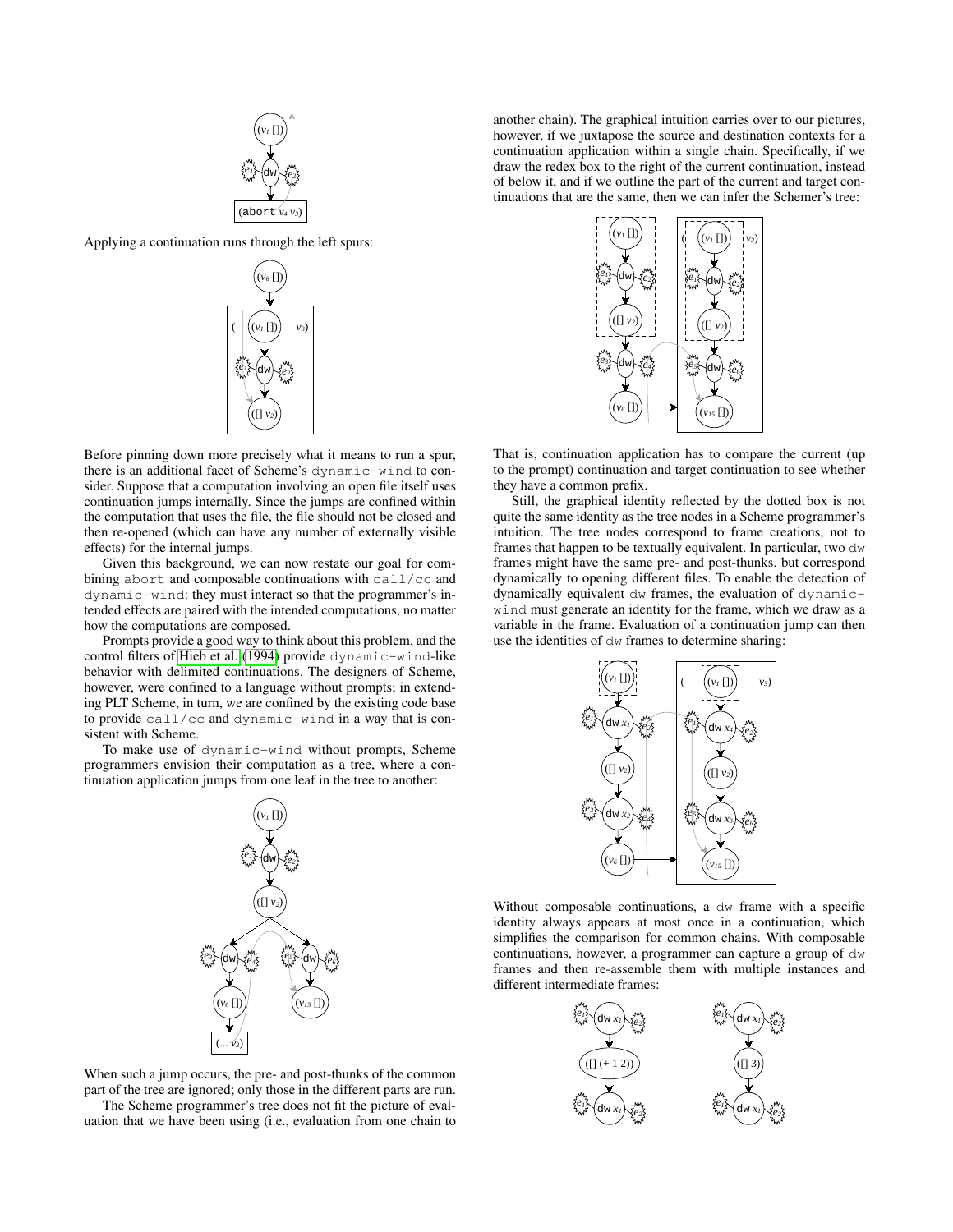

Applying a continuation runs through the left spurs:



Before pinning down more precisely what it means to run a spur, there is an additional facet of Scheme's dynamic-wind to consider. Suppose that a computation involving an open file itself uses continuation jumps internally. Since the jumps are confined within the computation that uses the file, the file should not be closed and then re-opened (which can have any number of externally visible effects) for the internal jumps.

Given this background, we can now restate our goal for combining abort and composable continuations with call/cc and dynamic-wind: they must interact so that the programmer's intended effects are paired with the intended computations, no matter how the computations are composed.

Prompts provide a good way to think about this problem, and the control filters of [Hieb et al.](#page-11-29) [\(1994\)](#page-11-29) provide dynamic-wind-like behavior with delimited continuations. The designers of Scheme, however, were confined to a language without prompts; in extending PLT Scheme, in turn, we are confined by the existing code base to provide call/cc and dynamic-wind in a way that is consistent with Scheme.

To make use of dynamic-wind without prompts, Scheme programmers envision their computation as a tree, where a continuation application jumps from one leaf in the tree to another:



When such a jump occurs, the pre- and post-thunks of the common part of the tree are ignored; only those in the different parts are run. The Scheme programmer's tree does not fit the picture of eval-

uation that we have been using (i.e., evaluation from one chain to

another chain). The graphical intuition carries over to our pictures, however, if we juxtapose the source and destination contexts for a continuation application within a single chain. Specifically, if we draw the redex box to the right of the current continuation, instead of below it, and if we outline the part of the current and target continuations that are the same, then we can infer the Schemer's tree:



That is, continuation application has to compare the current (up to the prompt) continuation and target continuation to see whether they have a common prefix.

Still, the graphical identity reflected by the dotted box is not quite the same identity as the tree nodes in a Scheme programmer's intuition. The tree nodes correspond to frame creations, not to frames that happen to be textually equivalent. In particular, two dw frames might have the same pre- and post-thunks, but correspond dynamically to opening different files. To enable the detection of dynamically equivalent dw frames, the evaluation of dynamicwind must generate an identity for the frame, which we draw as a variable in the frame. Evaluation of a continuation jump can then use the identities of dw frames to determine sharing:



Without composable continuations, a dw frame with a specific identity always appears at most once in a continuation, which simplifies the comparison for common chains. With composable continuations, however, a programmer can capture a group of dw frames and then re-assemble them with multiple instances and different intermediate frames:

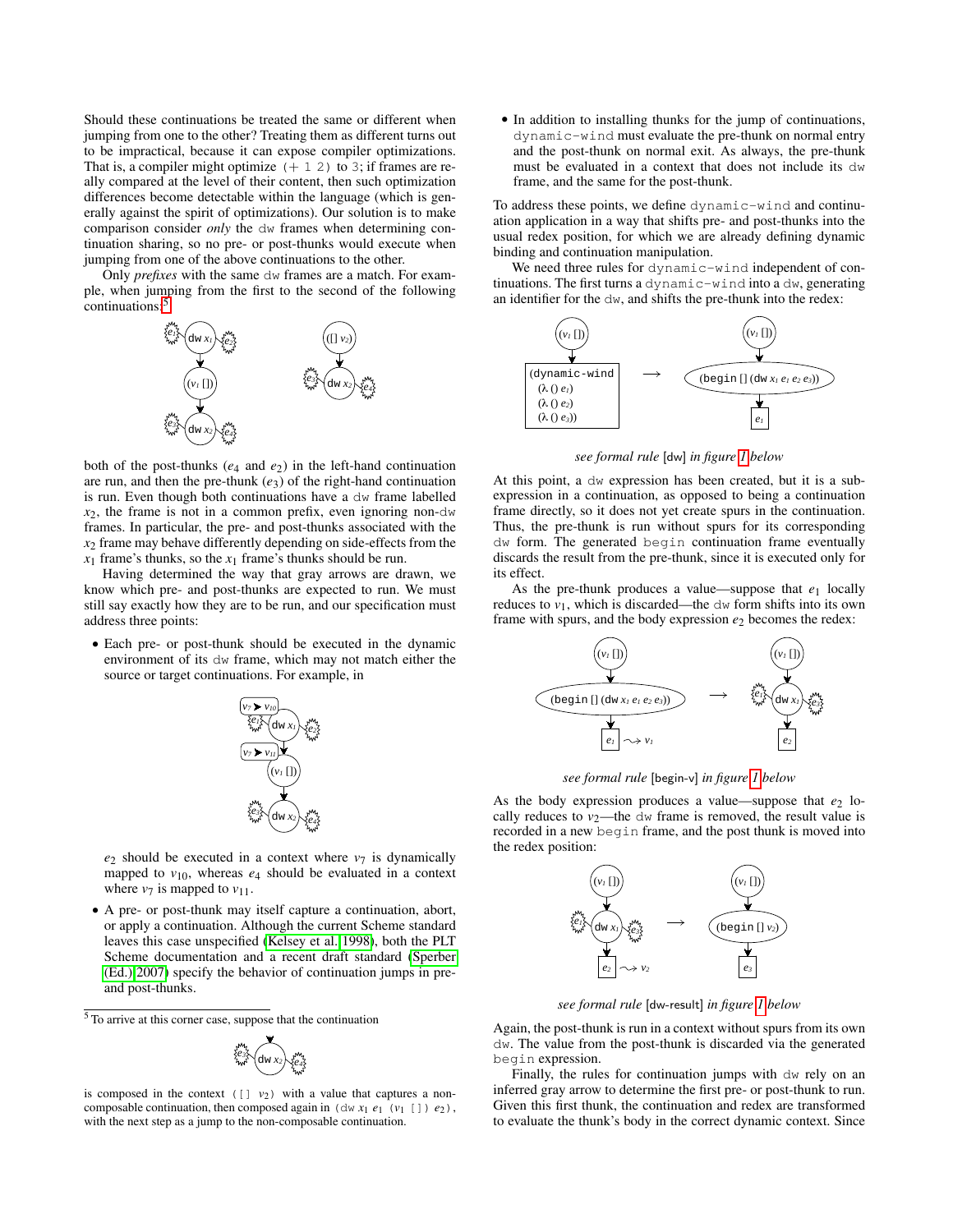Should these continuations be treated the same or different when jumping from one to the other? Treating them as different turns out to be impractical, because it can expose compiler optimizations. That is, a compiler might optimize  $(+ 1 2)$  to 3; if frames are really compared at the level of their content, then such optimization differences become detectable within the language (which is generally against the spirit of optimizations). Our solution is to make comparison consider *only* the dw frames when determining continuation sharing, so no pre- or post-thunks would execute when jumping from one of the above continuations to the other.

Only *prefixes* with the same dw frames are a match. For example, when jumping from the first to the second of the following continuations:<sup>[5](#page-7-0)</sup>



both of the post-thunks (*e*<sup>4</sup> and *e*2) in the left-hand continuation are run, and then the pre-thunk  $(e_3)$  of the right-hand continuation is run. Even though both continuations have a dw frame labelled  $x_2$ , the frame is not in a common prefix, even ignoring non-dw frames. In particular, the pre- and post-thunks associated with the *x*<sup>2</sup> frame may behave differently depending on side-effects from the  $x_1$  frame's thunks, so the  $x_1$  frame's thunks should be run.

Having determined the way that gray arrows are drawn, we know which pre- and post-thunks are expected to run. We must still say exactly how they are to be run, and our specification must address three points:

• Each pre- or post-thunk should be executed in the dynamic environment of its dw frame, which may not match either the source or target continuations. For example, in



 $e_2$  should be executed in a context where  $v_7$  is dynamically mapped to  $v_{10}$ , whereas  $e_4$  should be evaluated in a context where  $v_7$  is mapped to  $v_{11}$ .

• A pre- or post-thunk may itself capture a continuation, abort, or apply a continuation. Although the current Scheme standard leaves this case unspecified [\(Kelsey et al. 1998\)](#page-11-14), both the PLT Scheme documentation and a recent draft standard [\(Sperber](#page-11-27) [\(Ed.\) 2007\)](#page-11-27) specify the behavior of continuation jumps in preand post-thunks.

<span id="page-7-0"></span><sup>5</sup> To arrive at this corner case, suppose that the continuation



is composed in the context  $([ ] v<sub>2</sub>)$  with a value that captures a noncomposable continuation, then composed again in  $(\text{dw } x_1 \, e_1 \, (\nu_1 \, []) \, e_2)$ , with the next step as a jump to the non-composable continuation.

• In addition to installing thunks for the jump of continuations, dynamic-wind must evaluate the pre-thunk on normal entry and the post-thunk on normal exit. As always, the pre-thunk must be evaluated in a context that does not include its dw frame, and the same for the post-thunk.

To address these points, we define dynamic-wind and continuation application in a way that shifts pre- and post-thunks into the usual redex position, for which we are already defining dynamic binding and continuation manipulation.

We need three rules for dynamic-wind independent of continuations. The first turns a dynamic-wind into a dw, generating an identifier for the dw, and shifts the pre-thunk into the redex:



*see formal rule* [dw] *in figure [1](#page-9-0) below*

At this point, a dw expression has been created, but it is a subexpression in a continuation, as opposed to being a continuation frame directly, so it does not yet create spurs in the continuation. Thus, the pre-thunk is run without spurs for its corresponding dw form. The generated begin continuation frame eventually discards the result from the pre-thunk, since it is executed only for its effect.

As the pre-thunk produces a value—suppose that  $e_1$  locally reduces to  $v_1$ , which is discarded—the  $dw$  form shifts into its own frame with spurs, and the body expression  $e_2$  becomes the redex:



*see formal rule* [begin-v] *in figure [1](#page-9-0) below*

As the body expression produces a value—suppose that  $e_2$  locally reduces to  $v_2$ —the dw frame is removed, the result value is recorded in a new begin frame, and the post thunk is moved into the redex position:



*see formal rule* [dw-result] *in figure [1](#page-9-0) below*

Again, the post-thunk is run in a context without spurs from its own dw. The value from the post-thunk is discarded via the generated begin expression.

Finally, the rules for continuation jumps with dw rely on an inferred gray arrow to determine the first pre- or post-thunk to run. Given this first thunk, the continuation and redex are transformed to evaluate the thunk's body in the correct dynamic context. Since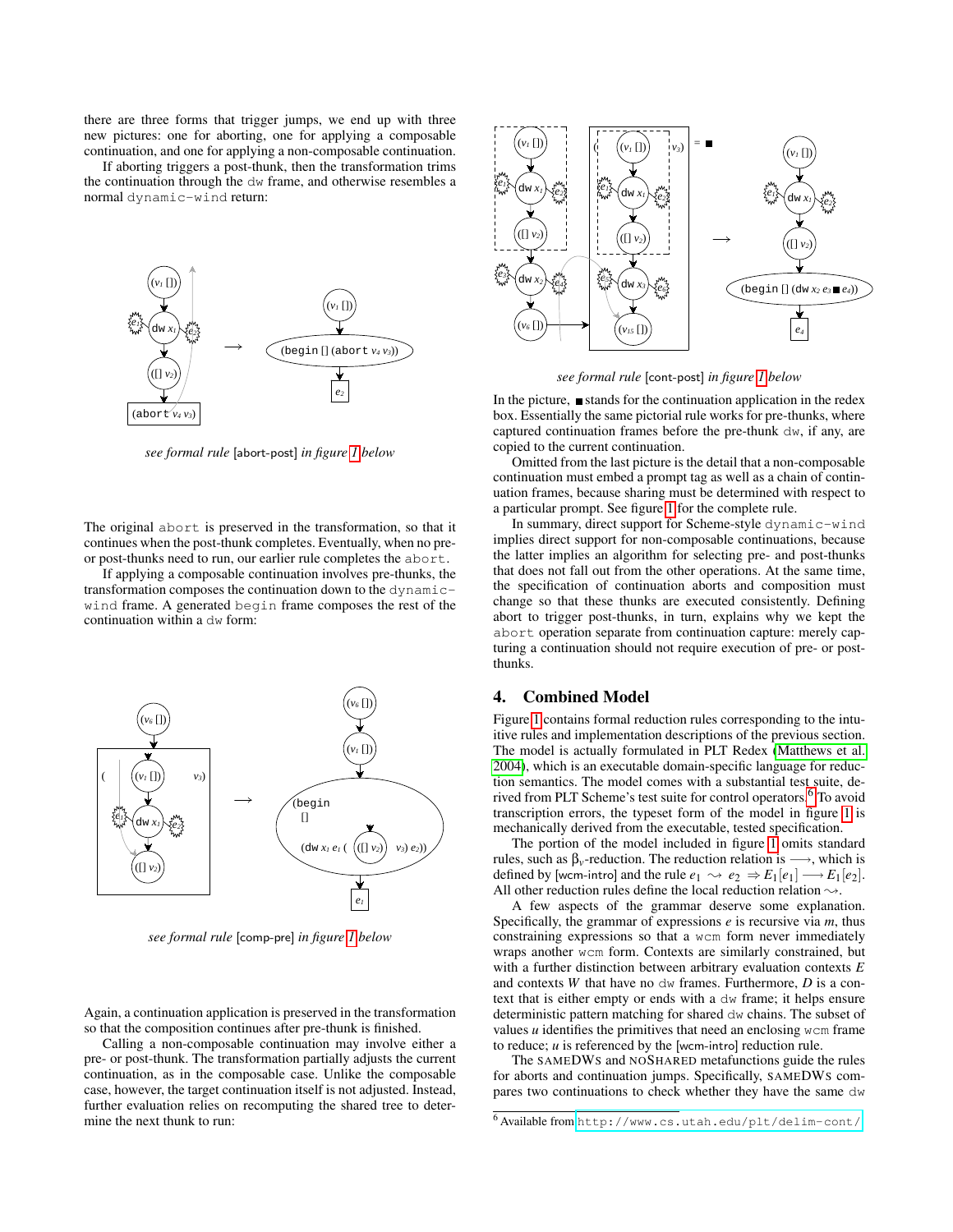there are three forms that trigger jumps, we end up with three new pictures: one for aborting, one for applying a composable continuation, and one for applying a non-composable continuation.

If aborting triggers a post-thunk, then the transformation trims the continuation through the dw frame, and otherwise resembles a normal dynamic-wind return:



*see formal rule* [abort-post] *in figure [1](#page-9-0) below*

The original abort is preserved in the transformation, so that it continues when the post-thunk completes. Eventually, when no preor post-thunks need to run, our earlier rule completes the abort.

If applying a composable continuation involves pre-thunks, the transformation composes the continuation down to the dynamicwind frame. A generated begin frame composes the rest of the continuation within a dw form:



*see formal rule* [comp-pre] *in figure [1](#page-9-0) below*

Again, a continuation application is preserved in the transformation so that the composition continues after pre-thunk is finished.

Calling a non-composable continuation may involve either a pre- or post-thunk. The transformation partially adjusts the current continuation, as in the composable case. Unlike the composable case, however, the target continuation itself is not adjusted. Instead, further evaluation relies on recomputing the shared tree to determine the next thunk to run:



*see formal rule* [cont-post] *in figure [1](#page-9-0) below*

In the picture,  $\blacksquare$  stands for the continuation application in the redex box. Essentially the same pictorial rule works for pre-thunks, where captured continuation frames before the pre-thunk dw, if any, are copied to the current continuation.

Omitted from the last picture is the detail that a non-composable continuation must embed a prompt tag as well as a chain of continuation frames, because sharing must be determined with respect to a particular prompt. See figure [1](#page-9-0) for the complete rule.

In summary, direct support for Scheme-style dynamic-wind implies direct support for non-composable continuations, because the latter implies an algorithm for selecting pre- and post-thunks that does not fall out from the other operations. At the same time, the specification of continuation aborts and composition must change so that these thunks are executed consistently. Defining abort to trigger post-thunks, in turn, explains why we kept the abort operation separate from continuation capture: merely capturing a continuation should not require execution of pre- or postthunks.

# 4. Combined Model

Figure [1](#page-9-0) contains formal reduction rules corresponding to the intuitive rules and implementation descriptions of the previous section. The model is actually formulated in PLT Redex [\(Matthews et al.](#page-11-24) [2004\)](#page-11-24), which is an executable domain-specific language for reduction semantics. The model comes with a substantial test suite, derived from PLT Scheme's test suite for control operators.[6](#page-8-0) To avoid transcription errors, the typeset form of the model in figure [1](#page-9-0) is mechanically derived from the executable, tested specification.

The portion of the model included in figure [1](#page-9-0) omits standard rules, such as  $\beta$ <sub>*v*</sub>-reduction. The reduction relation is  $\longrightarrow$ , which is defined by [wcm-intro] and the rule  $e_1 \rightsquigarrow e_2 \Rightarrow E_1[e_1] \longrightarrow E_1[e_2]$ . All other reduction rules define the local reduction relation  $\rightsquigarrow$ .

A few aspects of the grammar deserve some explanation. Specifically, the grammar of expressions *e* is recursive via *m*, thus constraining expressions so that a wcm form never immediately wraps another wcm form. Contexts are similarly constrained, but with a further distinction between arbitrary evaluation contexts *E* and contexts *W* that have no dw frames. Furthermore, *D* is a context that is either empty or ends with a dw frame; it helps ensure deterministic pattern matching for shared dw chains. The subset of values *u* identifies the primitives that need an enclosing wcm frame to reduce; *u* is referenced by the [wcm-intro] reduction rule.

The SAMEDWS and NOSHARED metafunctions guide the rules for aborts and continuation jumps. Specifically, SAMEDWS compares two continuations to check whether they have the same dw

<span id="page-8-0"></span><sup>6</sup> Available from <http://www.cs.utah.edu/plt/delim-cont/>.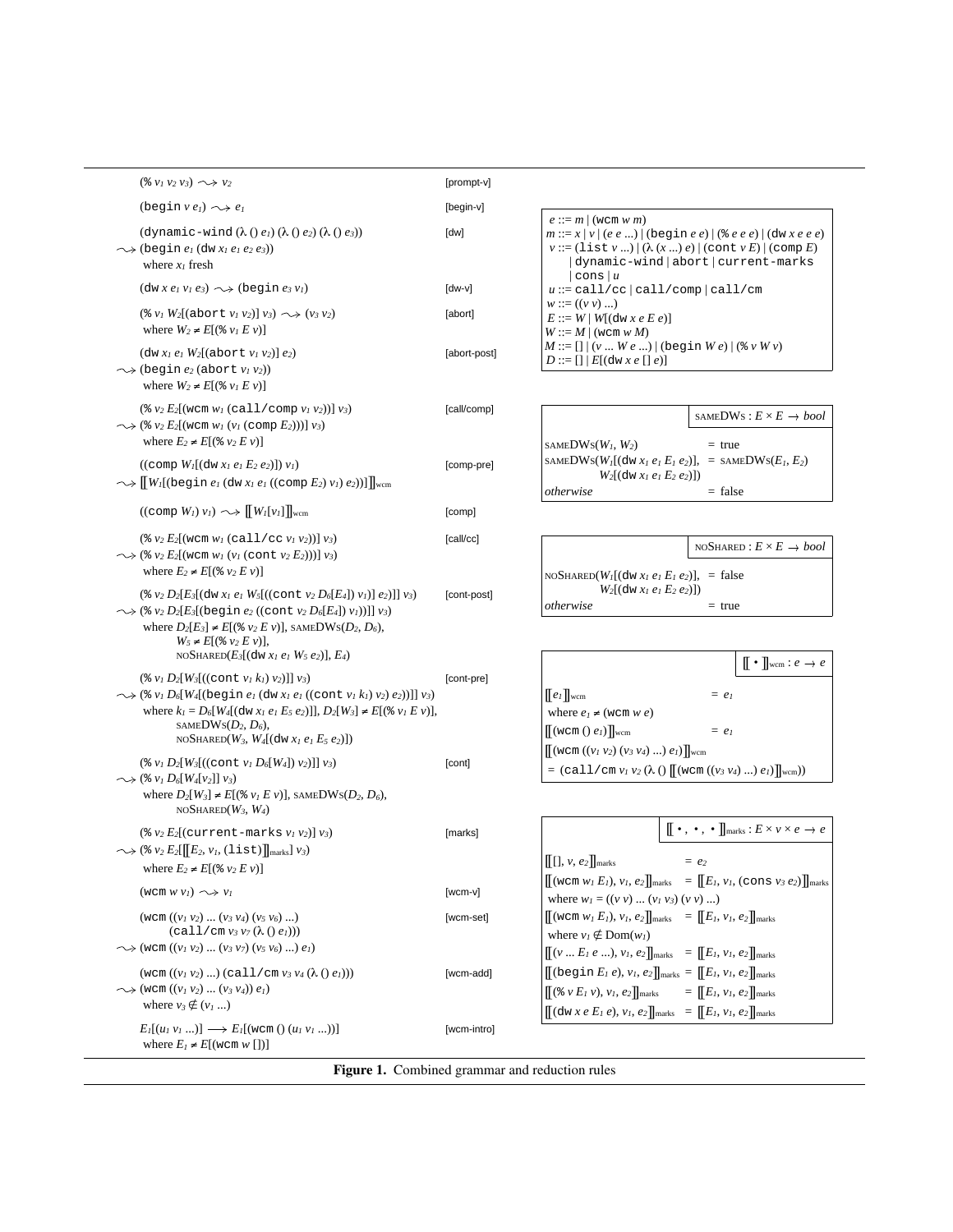| $(\frac{2}{9}v_1v_2v_3)\sim v_2$                                                                                                                                                                                                                                                                                                                                | [prompt-v]   |
|-----------------------------------------------------------------------------------------------------------------------------------------------------------------------------------------------------------------------------------------------------------------------------------------------------------------------------------------------------------------|--------------|
| $(\text{begin } v e_l) \rightarrow e_l$                                                                                                                                                                                                                                                                                                                         | [begin-v]    |
| $(\text{dynamic-wind } (\lambda() e_I) (\lambda() e_2) (\lambda() e_3))$<br>$\rightsquigarrow$ (begin $e_l$ (dw $x_l$ $e_l$ $e_2$ $e_3$ ))<br>where $x_I$ fresh                                                                                                                                                                                                 | [dw]         |
| $(\text{dw } x \, e_1 \, v_1 \, e_3) \sim \text{(\text{begin } e_3 \, v_1)}$                                                                                                                                                                                                                                                                                    | $[dw-v]$     |
| $(*) v_1 W_2[(\text{abort } v_1 v_2)] v_3) \sim \rightarrow (v_3 v_2)$<br>where $W_2 \neq E[(\frac{1}{2} v_I E v)]$                                                                                                                                                                                                                                             | [abort]      |
| $($ dw $x_1 e_1 W_2$ [(abort $v_1 v_2$ )] $e_2$ )<br>$\rightsquigarrow$ (begin $e_2$ (abort $v_1$ $v_2$ ))<br>where $W_2 \neq E[(\frac{1}{2} v_l E v)]$                                                                                                                                                                                                         | [abort-post] |
| $(* v_2 E_2[(wcm w_1 (call / comp v_1 v_2))] v_3)$<br>$\rightsquigarrow$ (* v <sub>2</sub> E <sub>2</sub> [(wcm w <sub>1</sub> (v <sub>1</sub> (comp E <sub>2</sub> )))] v <sub>3</sub> )<br>where $E_2 \neq E[(\&v_2 \mathrel{E} v)]$                                                                                                                          | [call/comp]  |
| $((comp WI[(dw xI eI E2 e2)]) vI)$<br>$\rightsquigarrow$ $\llbracket W_I$ [(begin $e_I$ (dw $x_I e_I$ ((comp $E_2$ ) $v_I$ ) $e_2$ ))]] $\rrbracket_{wcm}$                                                                                                                                                                                                      | [comp-pre]   |
| $((\text{comp }W_l) v_l) \sim \text{H}[W_l[v_l]]_{\text{wcm}}$                                                                                                                                                                                                                                                                                                  | [comp]       |
| $(* v_2 E_2[(wcm w_1 (call/cc v_1 v_2))] v_3)$<br>$\rightsquigarrow$ (% v <sub>2</sub> E <sub>2</sub> [(wcm w <sub>1</sub> (v <sub>1</sub> (cont v <sub>2</sub> E <sub>2</sub> )))] v <sub>3</sub> )<br>where $E_2 \neq E[(\frac{1}{2} \nu_2 E \nu)]$                                                                                                           | [call/cc]    |
| $(* v_2 D_2[E_3[$ (dw $x_1 e_1 W_5[$ ((cont $v_2 D_6[E_4]$ ) $v_1]$ $(e_2)$ ]] $v_3)$<br>$\rightsquigarrow$ (% $v_2 D_2[E_3[$ (begin $e_2$ ((cont $v_2 D_6[E_4]$ ) $v_1$ ))]] $v_3$ )<br>where $D_2[E_3] \neq E[(\frac{1}{2} \nu_2 E \nu)]$ , SAMEDWS( $D_2, D_6$ ),<br>$W_5 \neq E[(\frac{1}{2} \nu_2 E \nu)],$<br>NOSHARED $(E_3[(dw x_1 e_1 W_5 e_2)], E_4)$ | [cont-post]  |
| $(* v_1 D_2[W_3[(\text{cont } v_1 k_1) v_2]]] v_3)$<br>$\rightsquigarrow$ (% $v_1 D_6[W_4[$ (begin $e_1$ (dw $x_1 e_1$ ((cont $v_1 k_1 v_2$ ) $e_2$ ))]] $v_3$ )<br>where $k_1 = D_6[W_4[(\text{dw } x_1 \, e_1 \, E_5 \, e_2)]$ , $D_2[W_3] \neq E[(\text{w } v_1 \, E \, v)]$ ,<br>SAMEDWS $(D_2, D_6)$ ,<br>NOSHARED $(W_3, W_4[(dw x_1 e_1 E_5 e_2)])$      | [cont-pre]   |
| $(* v_1 D_2[W_3[(\text{cont } v_1 D_6[W_4]) v_2)]] v_3)$                                                                                                                                                                                                                                                                                                        | [cont]       |
| $\rightsquigarrow$ (% $v_1 D_6[W_4[v_2]] v_3$ )<br>where $D_2[W_3] \neq E[(\&v_1 E v)],$ SAMEDWS( $D_2, D_6$ ),<br>NOSHARED $(W_3, W_4)$                                                                                                                                                                                                                        |              |
| $(* v_2 E_2[(current-marks v_1 v_2)] v_3)$<br>$\rightsquigarrow$ (* $v_2 E_2[[E_2, v_1, (\text{list})]]_{\text{marks}}] v_3$ )<br>where $E_2 \neq E[(\frac{1}{2} \, v_2 \, E \, v)]$                                                                                                                                                                            | [marks]      |
| $(wcm w v_l) \sim v_l$                                                                                                                                                                                                                                                                                                                                          | $[wcm-v]$    |
| $(wcm ((v_1 v_2)  (v_3 v_4) (v_5 v_6) )$<br>$(call/cm v_3 v_7(\lambda()e_l)))$<br>$\rightsquigarrow$ (wcm $((v_1\,v_2)\,\,(v_3\,v_7)\,(v_5\,v_6)\,)\,e_1)$                                                                                                                                                                                                      | [wcm-set]    |
| $(\text{wcm } ((v_1 v_2) )$ (call/cm $v_3 v_4 (\lambda () e_1))$ )<br>$\rightsquigarrow$ (wem $((v_1 v_2)  (v_3 v_4)) e_1$ )<br>where $v_3 \notin (v_1 \dots)$                                                                                                                                                                                                  | [wcm-add]    |
| $E_l[(u_l v_l ) ] \longrightarrow E_l[(wcm () (u_l v_l ) )]$<br>where $E_l \neq E[(\text{wcm } w \text{ } [])]$                                                                                                                                                                                                                                                 | [wcm-intro]  |

```
e ::= m | (wcm w m)
m ::= x | v | (e e ...) | (begin e e) | (% e e e) | (dw x e e e)
v ::= (\text{list } v \ldots) | (\lambda (x \ldots) e) | (\text{cont } v E) | (\text{comp } E) | dynamic-wind | abort | current-marks
     | \text{cons} | uu ::= call/cc | call/comp | call/cm
w ::= ((v v) ...)
E := W \mid W[\text{d}w \times e \cdot E]W ::= M \mid (wcm w M)M ::= [] | (v ... W e ...) | (begin W e) | (% v W v)
 D ::= [] | E[(dw x e [] e)]
```

|                                                                                                   | SAMEDWS : $E \times E \rightarrow bool$ |
|---------------------------------------------------------------------------------------------------|-----------------------------------------|
| SAMEDWS $(W_1, W_2)$                                                                              | $=$ true                                |
| SAMEDWS( $W_l$ [(dw $x_l e_l E_l e_2$ )], = SAMEDWS( $E_l, E_2$ )<br>$W_2[(dw x_1 e_1 E_2 e_2)])$ |                                         |
| otherwise                                                                                         | $=$ false                               |

|                                                                                                                                       | NOSHARED : $E \times E \rightarrow bool$ |
|---------------------------------------------------------------------------------------------------------------------------------------|------------------------------------------|
| $\vert$ NOSHARED( $W$ <sup>[</sup> (dw $x_l$ e <sub>1</sub> E <sub>1</sub> e <sub>2</sub> )], = false<br>$W_2[(dw x_1 e_1 E_2 e_2)])$ |                                          |
| otherwise                                                                                                                             | $=$ true                                 |

|                                                                                                                            |                    | $\llbracket \bullet \rrbracket_{\text{wcm}} : e \to e$ |
|----------------------------------------------------------------------------------------------------------------------------|--------------------|--------------------------------------------------------|
| $[[e_i]]_{\text{wcm}}$                                                                                                     | $=$ e <sub>1</sub> |                                                        |
| where $e_1 \neq (wcm w e)$                                                                                                 |                    |                                                        |
| $\left\  \left[ \left( \text{wcm}() e_i \right) \right] \right\ $ wcm                                                      | $=$ e <sub>1</sub> |                                                        |
| $\left[ \left[ \left( \text{wcm} \left( (v_1 \, v_2) \, (v_3 \, v_4) \, \ldots \right) \, e_1 \right) \right] \right]$ wcm |                    |                                                        |
| $\vert$ = (call/cm $v_l v_2(\lambda)$ ([(wcm ((v <sub>3</sub> v <sub>4</sub> ) ) $e_l$ )] <sub>wcm</sub> ))                |                    |                                                        |

| $\llbracket \cdot, \cdot, \cdot \rrbracket_{\text{marks}} : E \times v \times e \rightarrow e$                                         |
|----------------------------------------------------------------------------------------------------------------------------------------|
| $[[[], v, e_2]]$ marks<br>$=$ $e2$                                                                                                     |
| $\left[$ (wcm $w_1 E_1$ ), $v_1, e_2$ ) $\right]$ <sub>marks</sub> = $\left[$ $E_1, v_1,$ (cons $v_3 e_2$ ) $\right]$ <sub>marks</sub> |
| where $w_1 = ((v v)  (v_1 v_3) (v v) )$                                                                                                |
| $[(\text{wcm } w_1 E_1), v_1, e_2]_{\text{marks}} = [[E_1, v_1, e_2]]_{\text{marks}}]$                                                 |
| where $v_l \notin \text{Dom}(w_l)$                                                                                                     |
| $[(v E_1 e ), v_1, e_2] _{\text{marks}} = [[E_1, v_1, e_2] _{\text{marks}}]$                                                           |
| $[[(\text{begin }E_l e), v_l, e_2]]_{\text{marks}} = [[E_l, v_l, e_2]]_{\text{marks}}]$                                                |
| $[(\& v E_1 v), v_1, e_2]_{\text{marks}} = [[E_1, v_1, e_2]]_{\text{marks}}]$                                                          |
| $[(\text{dw } x \text{ e } E_1 \text{ e}), v_1, e_2]_{\text{marks}} = [[E_1, v_1, e_2]]_{\text{marks}}]$                               |

<span id="page-9-0"></span>Figure 1. Combined grammar and reduction rules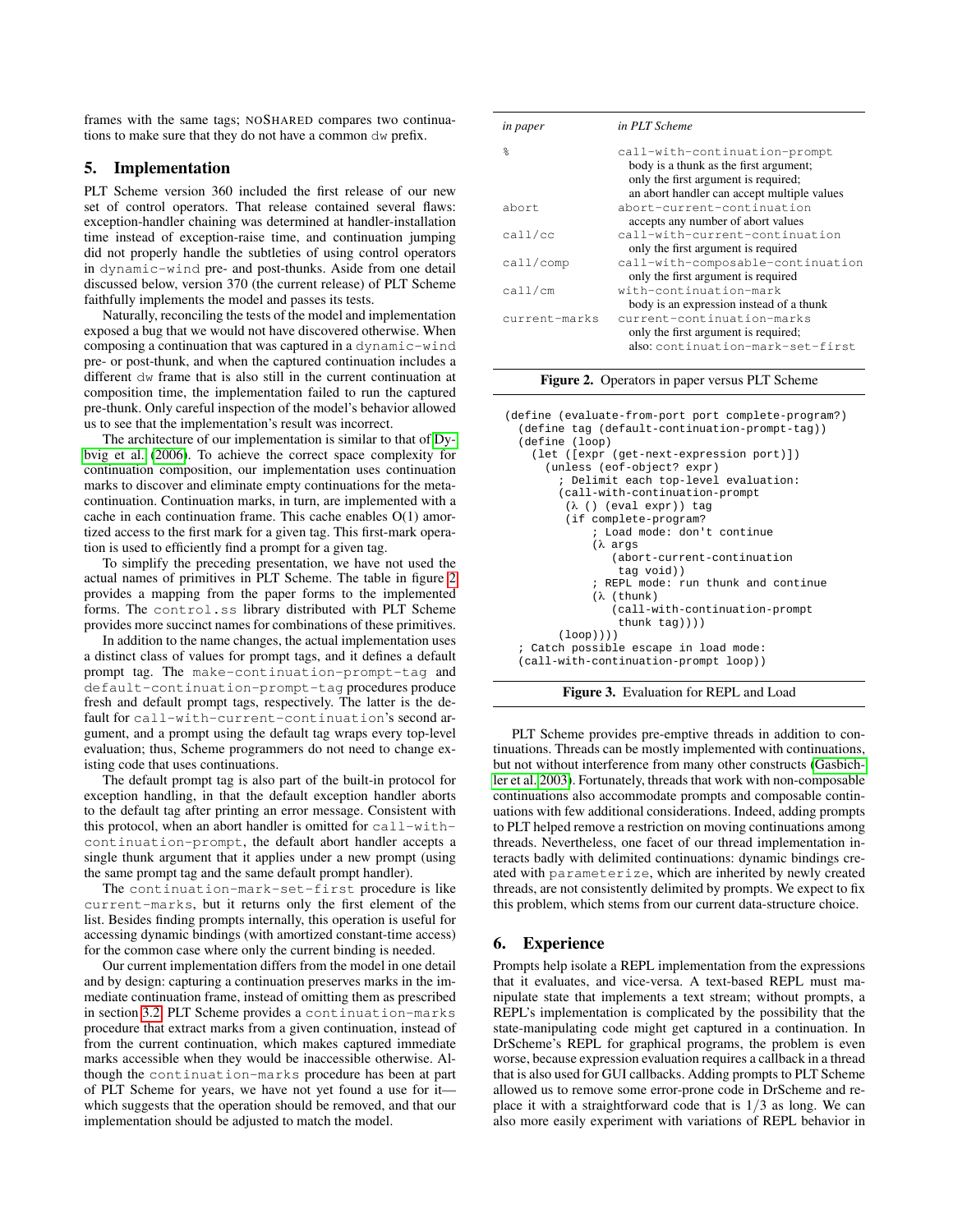frames with the same tags; NOSHARED compares two continuations to make sure that they do not have a common dw prefix.

## 5. Implementation

PLT Scheme version 360 included the first release of our new set of control operators. That release contained several flaws: exception-handler chaining was determined at handler-installation time instead of exception-raise time, and continuation jumping did not properly handle the subtleties of using control operators in dynamic-wind pre- and post-thunks. Aside from one detail discussed below, version 370 (the current release) of PLT Scheme faithfully implements the model and passes its tests.

Naturally, reconciling the tests of the model and implementation exposed a bug that we would not have discovered otherwise. When composing a continuation that was captured in a dynamic-wind pre- or post-thunk, and when the captured continuation includes a different dw frame that is also still in the current continuation at composition time, the implementation failed to run the captured pre-thunk. Only careful inspection of the model's behavior allowed us to see that the implementation's result was incorrect.

The architecture of our implementation is similar to that of [Dy](#page-11-10)[bvig et al.](#page-11-10) [\(2006\)](#page-11-10). To achieve the correct space complexity for continuation composition, our implementation uses continuation marks to discover and eliminate empty continuations for the metacontinuation. Continuation marks, in turn, are implemented with a cache in each continuation frame. This cache enables O(1) amortized access to the first mark for a given tag. This first-mark operation is used to efficiently find a prompt for a given tag.

To simplify the preceding presentation, we have not used the actual names of primitives in PLT Scheme. The table in figure [2](#page-10-0) provides a mapping from the paper forms to the implemented forms. The control.ss library distributed with PLT Scheme provides more succinct names for combinations of these primitives.

In addition to the name changes, the actual implementation uses a distinct class of values for prompt tags, and it defines a default prompt tag. The make-continuation-prompt-tag and default-continuation-prompt-tag procedures produce fresh and default prompt tags, respectively. The latter is the default for call-with-current-continuation's second argument, and a prompt using the default tag wraps every top-level evaluation; thus, Scheme programmers do not need to change existing code that uses continuations.

The default prompt tag is also part of the built-in protocol for exception handling, in that the default exception handler aborts to the default tag after printing an error message. Consistent with this protocol, when an abort handler is omitted for call-withcontinuation-prompt, the default abort handler accepts a single thunk argument that it applies under a new prompt (using the same prompt tag and the same default prompt handler).

The continuation-mark-set-first procedure is like current-marks, but it returns only the first element of the list. Besides finding prompts internally, this operation is useful for accessing dynamic bindings (with amortized constant-time access) for the common case where only the current binding is needed.

Our current implementation differs from the model in one detail and by design: capturing a continuation preserves marks in the immediate continuation frame, instead of omitting them as prescribed in section [3.2.](#page-3-1) PLT Scheme provides a continuation-marks procedure that extract marks from a given continuation, instead of from the current continuation, which makes captured immediate marks accessible when they would be inaccessible otherwise. Although the continuation-marks procedure has been at part of PLT Scheme for years, we have not yet found a use for it which suggests that the operation should be removed, and that our implementation should be adjusted to match the model.

| in paper                  | in PLT Scheme                                                                                                                                                  |
|---------------------------|----------------------------------------------------------------------------------------------------------------------------------------------------------------|
| $\frac{6}{10}$            | call-with-continuation-prompt<br>body is a thunk as the first argument;<br>only the first argument is required;<br>an abort handler can accept multiple values |
| abort                     | abort-current-continuation<br>accepts any number of abort values                                                                                               |
| call/cc                   | call-with-current-continuation<br>only the first argument is required                                                                                          |
| $\text{call}/\text{comp}$ | call-with-composable-continuation<br>only the first argument is required                                                                                       |
| call/cm                   | with-continuation-mark<br>body is an expression instead of a thunk                                                                                             |
| current-marks             | current-continuation-marks<br>only the first argument is required;<br>also: continuation-mark-set-first                                                        |

<span id="page-10-0"></span>Figure 2. Operators in paper versus PLT Scheme

(define (evaluate-from-port port complete-program?) (define tag (default-continuation-prompt-tag)) (define (loop) (let ([expr (get-next-expression port)]) (unless (eof-object? expr) ; Delimit each top-level evaluation: (call-with-continuation-prompt (λ () (eval expr)) tag (if complete-program? ; Load mode: don't continue (λ args (abort-current-continuation tag void)) ; REPL mode: run thunk and continue (λ (thunk) (call-with-continuation-prompt thunk tag)))) (loop)))) ; Catch possible escape in load mode: (call-with-continuation-prompt loop))

<span id="page-10-1"></span>

PLT Scheme provides pre-emptive threads in addition to continuations. Threads can be mostly implemented with continuations, but not without interference from many other constructs [\(Gasbich](#page-11-30)[ler et al. 2003\)](#page-11-30). Fortunately, threads that work with non-composable continuations also accommodate prompts and composable continuations with few additional considerations. Indeed, adding prompts to PLT helped remove a restriction on moving continuations among threads. Nevertheless, one facet of our thread implementation interacts badly with delimited continuations: dynamic bindings created with parameterize, which are inherited by newly created threads, are not consistently delimited by prompts. We expect to fix this problem, which stems from our current data-structure choice.

## 6. Experience

Prompts help isolate a REPL implementation from the expressions that it evaluates, and vice-versa. A text-based REPL must manipulate state that implements a text stream; without prompts, a REPL's implementation is complicated by the possibility that the state-manipulating code might get captured in a continuation. In DrScheme's REPL for graphical programs, the problem is even worse, because expression evaluation requires a callback in a thread that is also used for GUI callbacks. Adding prompts to PLT Scheme allowed us to remove some error-prone code in DrScheme and replace it with a straightforward code that is  $1/3$  as long. We can also more easily experiment with variations of REPL behavior in